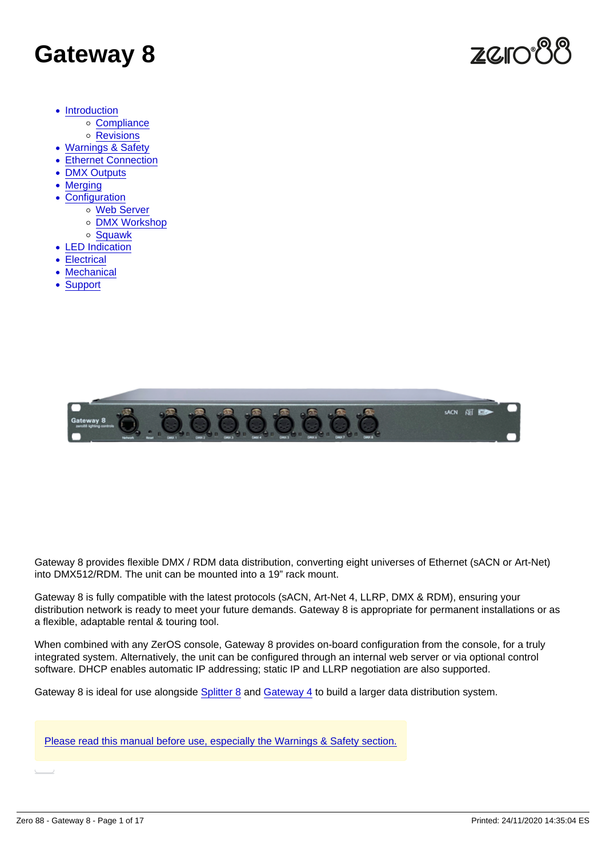# Gateway 8

- [Introduction](#page-2-0)
	- [Compliance](#page-2-0)
	- o [Revisions](#page-3-0)
- [Warnings & Safety](#page-4-0)
- [Ethernet Connection](#page-5-0)
- [DMX Outputs](#page-6-0)
- [Merging](#page-7-0)
- [Configuration](#page-9-0)
	- [Web Server](#page-9-0)
		- [DMX Workshop](#page-10-0)
		- o [Squawk](#page-11-0)
- [LED Indication](#page-13-0)
- [Electrical](#page-14-0)
- [Mechanical](#page-15-0)
- [Support](#page-16-0)

Gateway 8 provides flexible DMX / RDM data distribution, converting eight universes of Ethernet (sACN or Art-Net) into DMX512/RDM. The unit can be mounted into a 19" rack mount.

Gateway 8 is fully compatible with the latest protocols (sACN, Art-Net 4, LLRP, DMX & RDM), ensuring your distribution network is ready to meet your future demands. Gateway 8 is appropriate for permanent installations or as a flexible, adaptable rental & touring tool.

When combined with any ZerOS console, Gateway 8 provides on-board configuration from the console, for a truly integrated system. Alternatively, the unit can be configured through an internal web server or via optional control software. DHCP enables automatic IP addressing; static IP and LLRP negotiation are also supported.

Gateway 8 is ideal for use alongside [Splitter 8](https://zero88.com/data/splitter8) and [Gateway 4](https://zero88.com/data/gateway4) to build a larger data distribution system.

[Please read this manual before use, especially the Warnings & Safety section.](/manuals/gateway8/warnings-safety-2)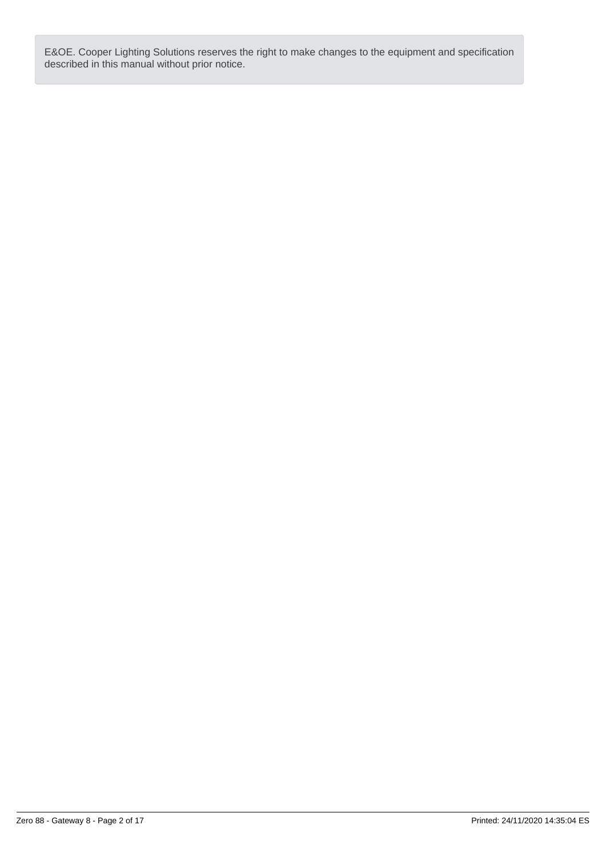E&OE. Cooper Lighting Solutions reserves the right to make changes to the equipment and specification described in this manual without prior notice.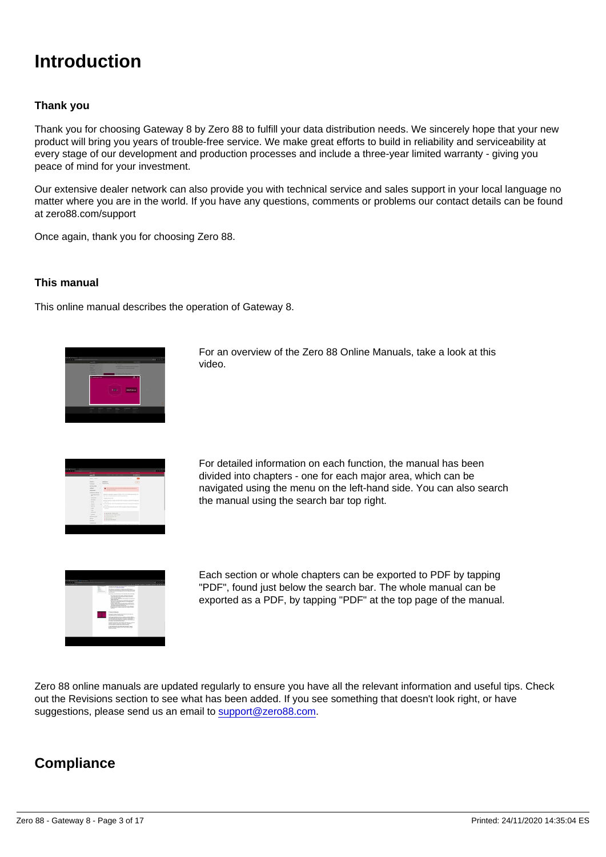### <span id="page-2-0"></span>Introduction

#### Thank you

Thank you for choosing Gateway 8 by Zero 88 to fulfill your data distribution needs. We sincerely hope that your new product will bring you years of trouble-free service. We make great efforts to build in reliability and serviceability at every stage of our development and production processes and include a three-year limited warranty - giving you peace of mind for your investment.

Our extensive dealer network can also provide you with technical service and sales support in your local language no matter where you are in the world. If you have any questions, comments or problems our contact details can be found at zero88.com/support

Once again, thank you for choosing Zero 88.

This manual

This online manual describes the operation of Gateway 8.

For an overview of the Zero 88 Online Manuals, take a look at this video.

For detailed information on each function, the manual has been divided into chapters - one for each major area, which can be navigated using the menu on the left-hand side. You can also search the manual using the search bar top right.

Each section or whole chapters can be exported to PDF by tapping "PDF", found just below the search bar. The whole manual can be exported as a PDF, by tapping "PDF" at the top page of the manual.

Zero 88 online manuals are updated regularly to ensure you have all the relevant information and useful tips. Check out the Revisions section to see what has been added. If you see something that doesn't look right, or have suggestions, please send us an email to [support@zero88.com](mailto:support@zero88.com).

**Compliance**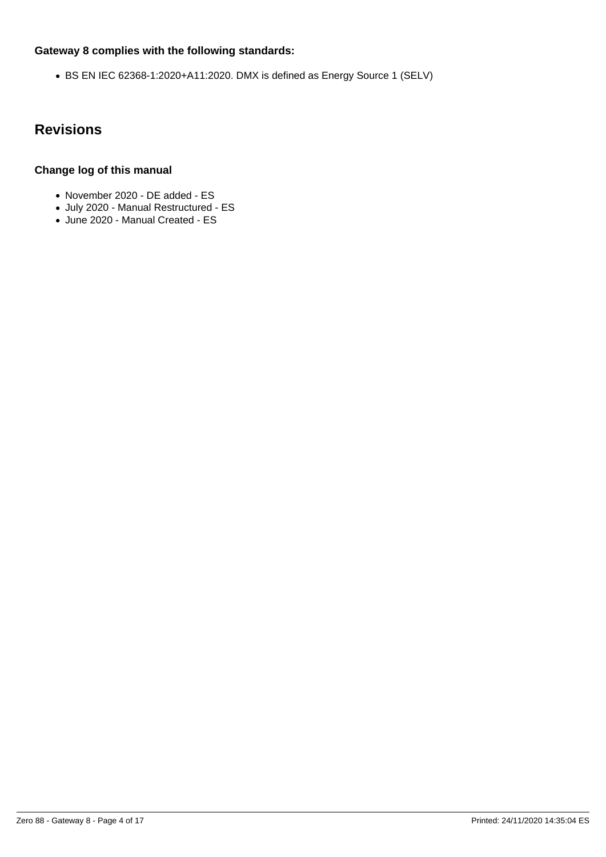#### <span id="page-3-0"></span>**Gateway 8 complies with the following standards:**

BS EN IEC 62368-1:2020+A11:2020. DMX is defined as Energy Source 1 (SELV)

### **Revisions**

#### **Change log of this manual**

- November 2020 DE added ES
- July 2020 Manual Restructured ES
- June 2020 Manual Created ES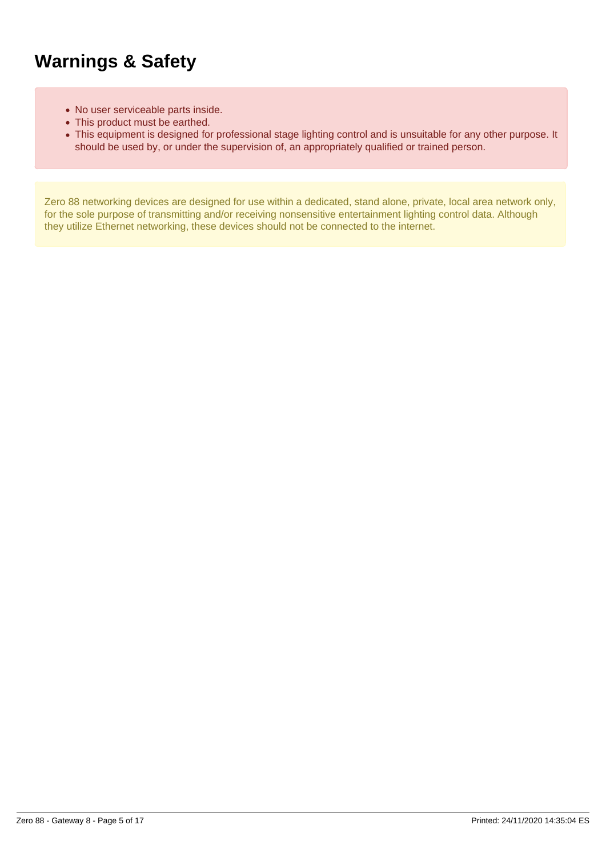### <span id="page-4-0"></span>**Warnings & Safety**

- No user serviceable parts inside.
- This product must be earthed.
- This equipment is designed for professional stage lighting control and is unsuitable for any other purpose. It should be used by, or under the supervision of, an appropriately qualified or trained person.

Zero 88 networking devices are designed for use within a dedicated, stand alone, private, local area network only, for the sole purpose of transmitting and/or receiving nonsensitive entertainment lighting control data. Although they utilize Ethernet networking, these devices should not be connected to the internet.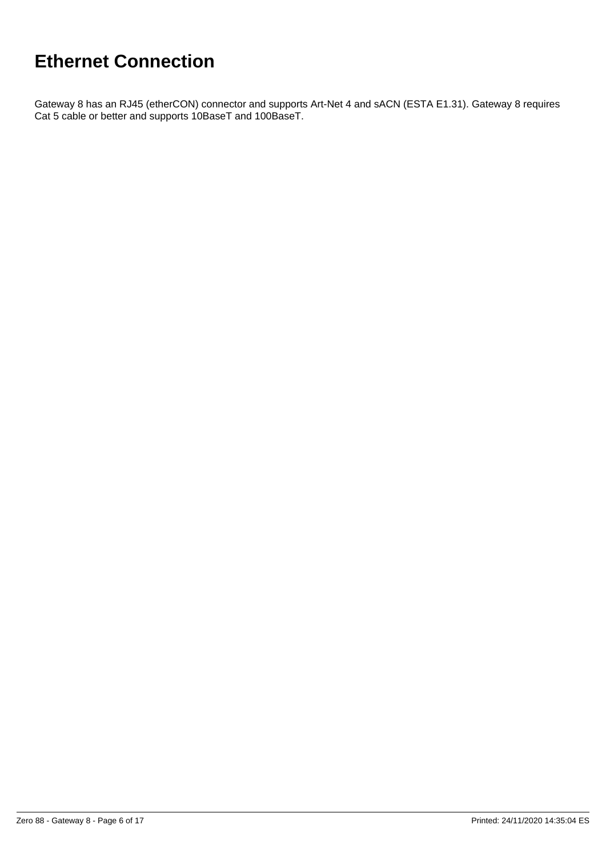## <span id="page-5-0"></span>**Ethernet Connection**

Gateway 8 has an RJ45 (etherCON) connector and supports Art-Net 4 and sACN (ESTA E1.31). Gateway 8 requires Cat 5 cable or better and supports 10BaseT and 100BaseT.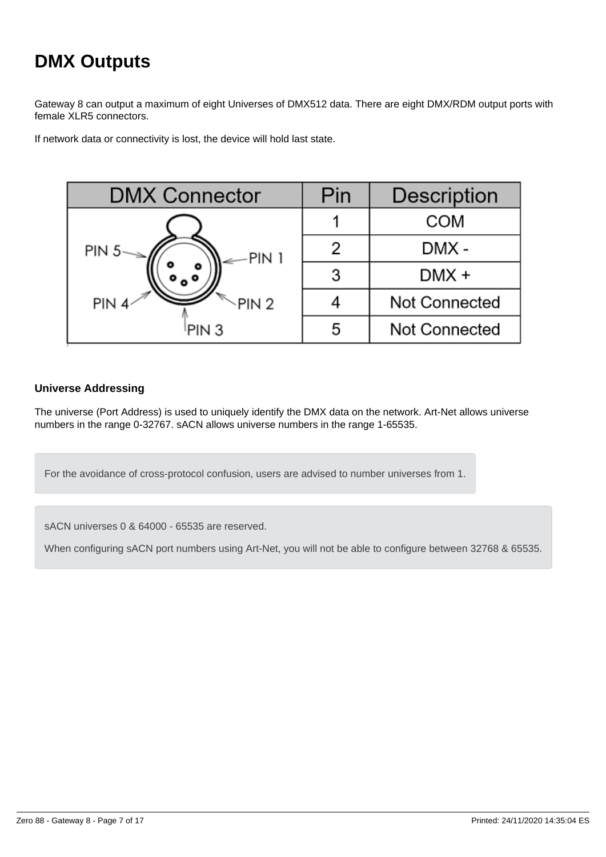## <span id="page-6-0"></span>**DMX Outputs**

Gateway 8 can output a maximum of eight Universes of DMX512 data. There are eight DMX/RDM output ports with female XLR5 connectors.

If network data or connectivity is lost, the device will hold last state.



#### **Universe Addressing**

The universe (Port Address) is used to uniquely identify the DMX data on the network. Art-Net allows universe numbers in the range 0-32767. sACN allows universe numbers in the range 1-65535.

For the avoidance of cross-protocol confusion, users are advised to number universes from 1.

sACN universes 0 & 64000 - 65535 are reserved.

When configuring sACN port numbers using Art-Net, you will not be able to configure between 32768 & 65535.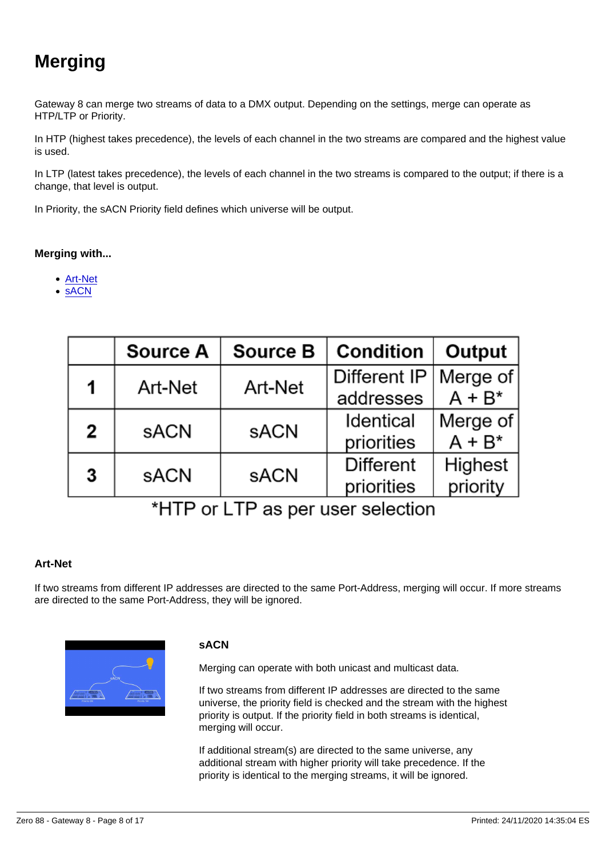## <span id="page-7-0"></span>Merging

Gateway 8 can merge two streams of data to a DMX output. Depending on the settings, merge can operate as HTP/LTP or Priority.

In HTP (highest takes precedence), the levels of each channel in the two streams are compared and the highest value is used.

In LTP (latest takes precedence), the levels of each channel in the two streams is compared to the output; if there is a change, that level is output.

In Priority, the sACN Priority field defines which universe will be output.

Merging with...

- Art-Net
- sACN

#### Art-Net

If two streams from different IP addresses are directed to the same Port-Address, merging will occur. If more streams are directed to the same Port-Address, they will be ignored.

sACN

Merging can operate with both unicast and multicast data.

If two streams from different IP addresses are directed to the same universe, the priority field is checked and the stream with the highest priority is output. If the priority field in both streams is identical, merging will occur.

If additional stream(s) are directed to the same universe, any additional stream with higher priority will take precedence. If the priority is identical to the merging streams, it will be ignored.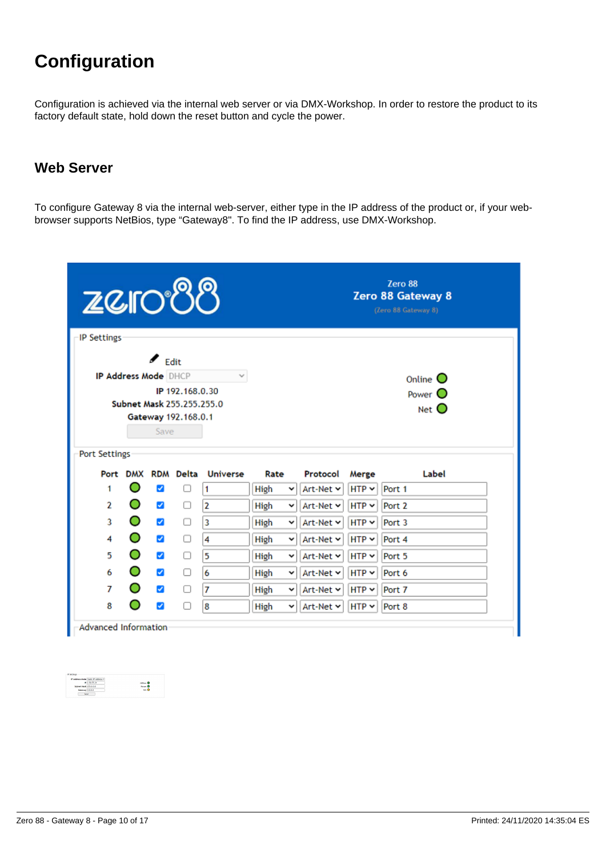## <span id="page-9-0"></span>**Configuration**

Configuration is achieved via the internal web server or via DMX-Workshop. In order to restore the product to its factory default state, hold down the reset button and cycle the power.

#### **Web Server**

To configure Gateway 8 via the internal web-server, either type in the IP address of the product or, if your webbrowser supports NetBios, type "Gateway8". To find the IP address, use DMX-Workshop.

| <b>ZCIO88</b>      |                             |                       |                                                  |               |           | Zero 88<br>Zero 88 Gateway 8<br>(Zero 88 Gateway 8) |            |                   |  |  |
|--------------------|-----------------------------|-----------------------|--------------------------------------------------|---------------|-----------|-----------------------------------------------------|------------|-------------------|--|--|
| <b>IP Settings</b> |                             |                       |                                                  |               |           |                                                     |            |                   |  |  |
|                    |                             | $\epsilon$ Edit       |                                                  |               |           |                                                     |            |                   |  |  |
|                    | <b>IP Address Mode DHCP</b> |                       |                                                  | $\mathcal{L}$ |           |                                                     |            | Online $\bigcirc$ |  |  |
|                    |                             |                       | IP 192.168.0.30                                  |               |           |                                                     |            | Power O           |  |  |
|                    |                             |                       | Subnet Mask 255.255.255.0<br>Gateway 192.168.0.1 |               |           |                                                     |            | Net $\mathbf O$   |  |  |
|                    |                             | Save                  |                                                  |               |           |                                                     |            |                   |  |  |
|                    |                             |                       |                                                  |               |           |                                                     |            |                   |  |  |
| Port Settings      |                             |                       |                                                  |               |           |                                                     |            |                   |  |  |
|                    |                             |                       | Port DMX RDM Delta                               | Universe      | Rate      | Protocol                                            | Merge      | Label             |  |  |
| 1                  | O                           | $\blacktriangleright$ | п                                                | 1             | High<br>v | Art-Net Y                                           | $HTP \sim$ | Port 1            |  |  |
| 2                  | O                           | $\blacktriangleright$ | ∩                                                | 2             | High<br>v | Art-Net Y                                           | $HTP \sim$ | Port <sub>2</sub> |  |  |
| 3                  | O                           | $\blacktriangleright$ | □                                                | з             | High<br>v | Art-Net Y                                           | $HTP \sim$ | Port 3            |  |  |
| 4                  | O                           | $\blacktriangleright$ | □                                                | 4             | High<br>v | Art-Net ~                                           | $HTP \sim$ | Port 4            |  |  |
|                    | O                           | $\blacktriangleright$ | n                                                | 5             | High<br>v | Art-Net v                                           | $HTP \sim$ | Port 5            |  |  |
| 5                  |                             |                       |                                                  |               |           |                                                     |            |                   |  |  |
| 6                  | O                           | $\blacktriangleright$ | n                                                | 6             | High<br>v | Art-Net Y                                           | $HTP \sim$ | Port 6            |  |  |
| 7                  | $\circ$                     | $\blacktriangleright$ | □                                                | 7             | High<br>v | Art-Net v                                           | $HTP \sim$ | Port 7            |  |  |

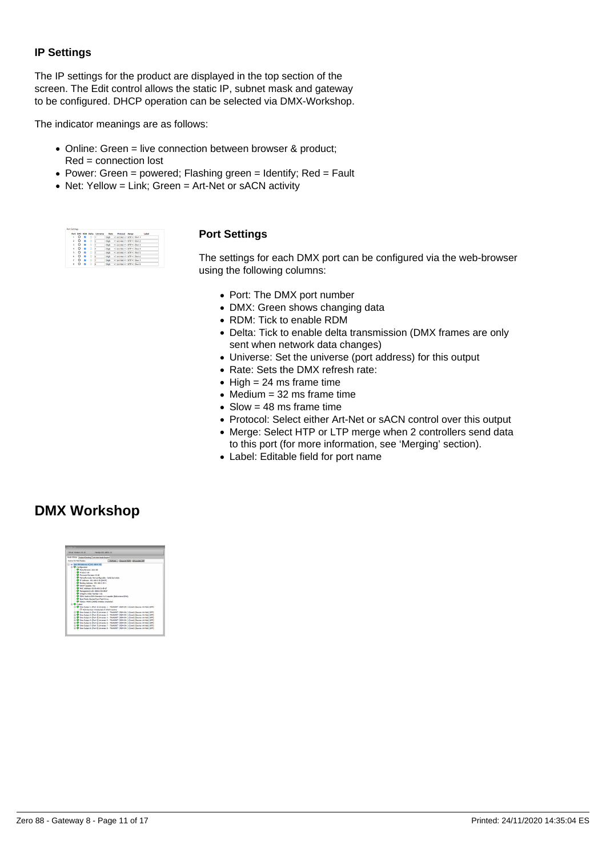#### <span id="page-10-0"></span>**IP Settings**

The IP settings for the product are displayed in the top section of the screen. The Edit control allows the static IP, subnet mask and gateway to be configured. DHCP operation can be selected via DMX-Workshop.

The indicator meanings are as follows:

- Online: Green = live connection between browser & product; Red = connection lost
- Power: Green = powered; Flashing green = Identify; Red = Fault
- Net: Yellow = Link; Green = Art-Net or sACN activity

|    |            |      | Port DAY POM Dalta | <b>Linksame</b> | Rebe        | Protocol Merge                | Label |
|----|------------|------|--------------------|-----------------|-------------|-------------------------------|-------|
| ٠  | $\Omega$   | - 19 | $\Box$             | п               |             | High v Art-Net v HTP v Port 1 |       |
| s. | $\Omega$   | n    | o                  |                 |             | High v Art-Net v HTP v Port 2 |       |
| ٠  | $\Omega$   | n    | o                  | Б               | <b>High</b> | W. Art-Net w. NTP w. Port 3   |       |
| ×  | o          | n    | o                  |                 |             | High v Art-Net v HTP v Port 4 |       |
| x  | o          | n    | o                  |                 | High        | v Art-Net v HTP v Port 5      |       |
| ĸ  | o          | n    | o                  | s               | High        | W Art-Net w HTP w Port 6      |       |
| ,  | $^{\circ}$ | n    | o                  |                 | High        | v Art-Net v HTP v Port 7      |       |
| ŧ  | o          |      | o                  |                 | High        | w Art-Net w HTP w Port B      |       |

#### **Port Settings**

The settings for each DMX port can be configured via the web-browser using the following columns:

- Port: The DMX port number
- DMX: Green shows changing data
- RDM: Tick to enable RDM
- Delta: Tick to enable delta transmission (DMX frames are only sent when network data changes)
- Universe: Set the universe (port address) for this output
- Rate: Sets the DMX refresh rate:
- $\bullet$  High = 24 ms frame time
- $\bullet$  Medium = 32 ms frame time
- $\bullet$  Slow = 48 ms frame time
- Protocol: Select either Art-Net or sACN control over this output
- Merge: Select HTP or LTP merge when 2 controllers send data to this port (for more information, see 'Merging' section).
- Label: Editable field for port name

#### **DMX Workshop**

| <b>Goods Elder</b>                                    |                                                                                             |  |  |  |  |  |
|-------------------------------------------------------|---------------------------------------------------------------------------------------------|--|--|--|--|--|
| Orbiter Membran Vid. 17<br>Heathy 103, MA 0, 13       |                                                                                             |  |  |  |  |  |
| ode Status   Quanus Roussea   Jun Alessande Record    |                                                                                             |  |  |  |  |  |
| <b>Artist Art Net Nodes:</b>                          | <b>Refresh Decover RDM All Locates Off</b>                                                  |  |  |  |  |  |
| 1 - Zero 88 Gateway 8 [192, 168.0.30]                 |                                                                                             |  |  |  |  |  |
| <b>P. O Cardovatory</b>                               |                                                                                             |  |  |  |  |  |
| C Menderbaner Zero 88                                 |                                                                                             |  |  |  |  |  |
| C Frederick                                           |                                                                                             |  |  |  |  |  |
| C Finnance Revision 13, 28                            |                                                                                             |  |  |  |  |  |
| C Fall-safe mode: Not configurable - holds last state |                                                                                             |  |  |  |  |  |
| C P Address 192, 169.0.30 (DHCP)                      |                                                                                             |  |  |  |  |  |
| C Bridno Address: 192, 193, 0.30-1                    |                                                                                             |  |  |  |  |  |
| C DHOP Capables Yes                                   |                                                                                             |  |  |  |  |  |
| C MAC ANNUM COOL AS SHARE                             |                                                                                             |  |  |  |  |  |
| Management LED: 0000:C901401F                         |                                                                                             |  |  |  |  |  |
| <sup>5</sup> Integrity Index Number: n/a              |                                                                                             |  |  |  |  |  |
|                                                       | C ROM: Node is RDM Standard V1.0 capable (Bdrectional DMO).                                 |  |  |  |  |  |
| <b>Co first Moder Rocked from Flash Drive</b>         |                                                                                             |  |  |  |  |  |
| Status: #0001 (4005) Initialise completed.            |                                                                                             |  |  |  |  |  |
| <b>B. O GAVA</b>                                      |                                                                                             |  |  |  |  |  |
|                                                       | th C Dex Output to Port 1) Universe: 1 - TRANSMIT (RDM ON ) (Canal) (Source: Art-Net) (HTF) |  |  |  |  |  |
|                                                       |                                                                                             |  |  |  |  |  |
|                                                       | to @ Dex Culput 2: Port 2) Universe: 2 - TRANSMIT (RDM ON 3 (Canal) (Source: Art-Ret) (HTF) |  |  |  |  |  |
|                                                       | 1919 Day Outsut & Rent S Universe 3 - TRANSPORT (ROMON) 3 (Canadi (Second Artistal) 5-039)  |  |  |  |  |  |
|                                                       | R-C Dex Outsut 4: Port 4 Linkwear 4 - TRANSMIT, BOM ON 3 (Canadi Douces Art-Net) 547FL      |  |  |  |  |  |
|                                                       | R- C Day Output S: Port Staniseres S - TRANSMIT (ROM ON 1 (Cand) Diource: Art-Net) 547F1    |  |  |  |  |  |
|                                                       | R-C Dex Output & Port El Universe & - TRANSMIT (ROM ON 1 (Cang) (Source: Art-Hel) 54TP)     |  |  |  |  |  |
|                                                       | R- C Dex Output 7: Port 7/ Universe 7 - TRANSMIT (ROM ON 1 (Canct) Dioutor: Art-Held 54TP)  |  |  |  |  |  |
|                                                       | R- C Dex Output & Port 81 Universe & - TRANSMIT (ROM ON 1 (Cang) (Source: Art-Hel) 54TP)    |  |  |  |  |  |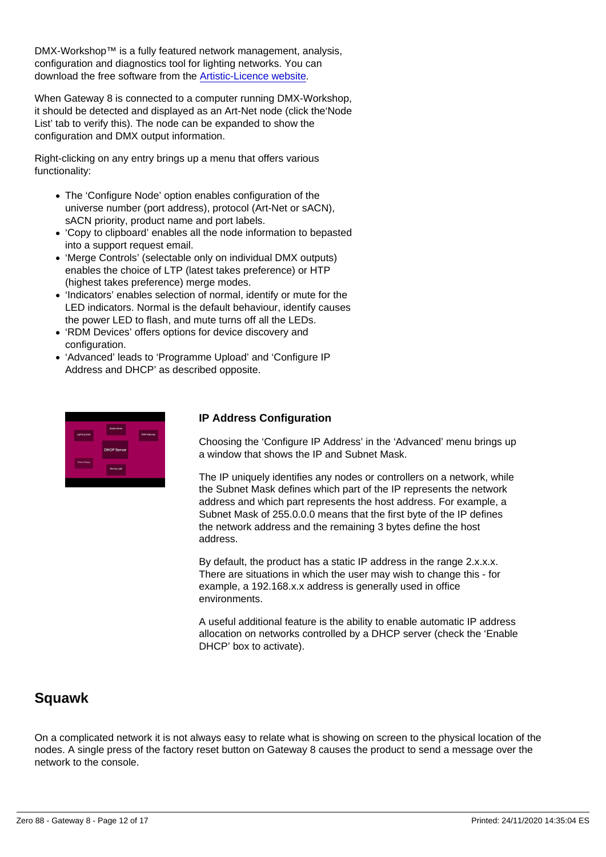<span id="page-11-0"></span>DMX-Workshop™ is a fully featured network management, analysis, configuration and diagnostics tool for lighting networks. You can download the free software from the [Artistic-Licence website.](https://artisticlicence.com/product/dmx-workshop/)

When Gateway 8 is connected to a computer running DMX-Workshop, it should be detected and displayed as an Art-Net node (click the'Node List' tab to verify this). The node can be expanded to show the configuration and DMX output information.

Right-clicking on any entry brings up a menu that offers various functionality:

- The 'Configure Node' option enables configuration of the universe number (port address), protocol (Art-Net or sACN), sACN priority, product name and port labels.
- 'Copy to clipboard' enables all the node information to bepasted into a support request email.
- 'Merge Controls' (selectable only on individual DMX outputs) enables the choice of LTP (latest takes preference) or HTP (highest takes preference) merge modes.
- 'Indicators' enables selection of normal, identify or mute for the LED indicators. Normal is the default behaviour, identify causes the power LED to flash, and mute turns off all the LEDs.
- 'RDM Devices' offers options for device discovery and configuration.
- 'Advanced' leads to 'Programme Upload' and 'Configure IP Address and DHCP' as described opposite.

IP Address Configuration

Choosing the 'Configure IP Address' in the 'Advanced' menu brings up a window that shows the IP and Subnet Mask.

The IP uniquely identifies any nodes or controllers on a network, while the Subnet Mask defines which part of the IP represents the network address and which part represents the host address. For example, a Subnet Mask of 255.0.0.0 means that the first byte of the IP defines the network address and the remaining 3 bytes define the host address.

By default, the product has a static IP address in the range 2.x.x.x. There are situations in which the user may wish to change this - for example, a 192.168.x.x address is generally used in office environments.

A useful additional feature is the ability to enable automatic IP address allocation on networks controlled by a DHCP server (check the 'Enable DHCP' box to activate).

#### Squawk

On a complicated network it is not always easy to relate what is showing on screen to the physical location of the nodes. A single press of the factory reset button on Gateway 8 causes the product to send a message over the network to the console.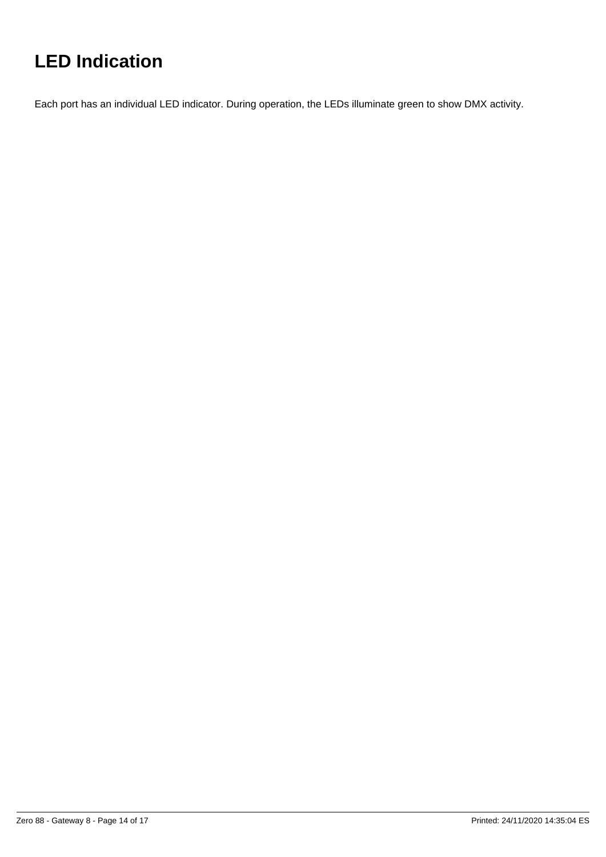## <span id="page-13-0"></span>**LED Indication**

Each port has an individual LED indicator. During operation, the LEDs illuminate green to show DMX activity.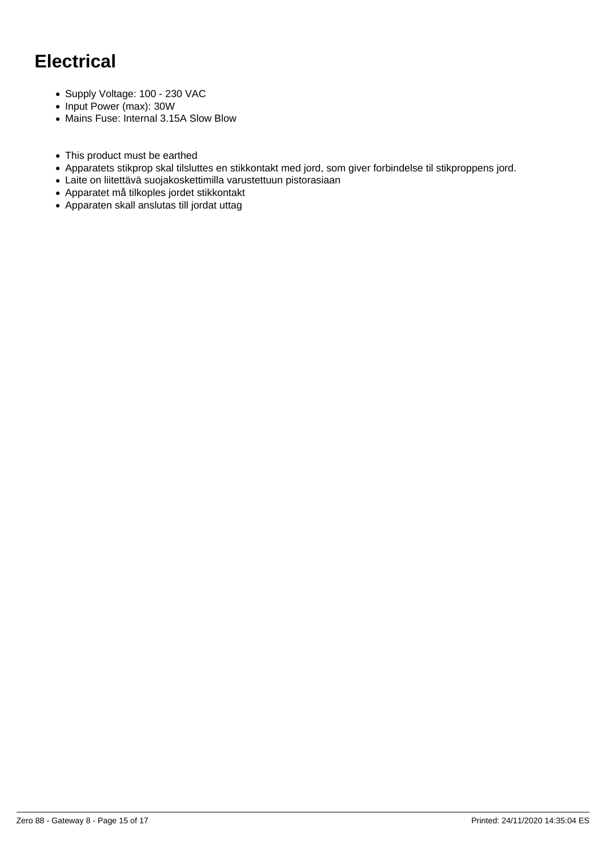## <span id="page-14-0"></span>**Electrical**

- Supply Voltage: 100 230 VAC
- Input Power (max): 30W
- Mains Fuse: Internal 3.15A Slow Blow
- This product must be earthed
- Apparatets stikprop skal tilsluttes en stikkontakt med jord, som giver forbindelse til stikproppens jord.
- Laite on liitettävä suojakoskettimilla varustettuun pistorasiaan
- Apparatet må tilkoples jordet stikkontakt
- Apparaten skall anslutas till jordat uttag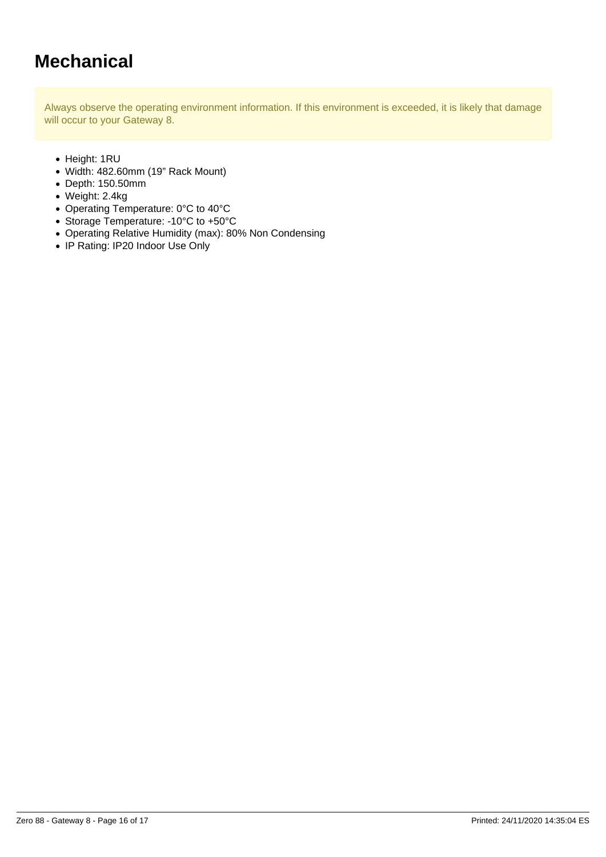### <span id="page-15-0"></span>**Mechanical**

Always observe the operating environment information. If this environment is exceeded, it is likely that damage will occur to your Gateway 8.

- Height: 1RU
- Width: 482.60mm (19" Rack Mount)
- Depth: 150.50mm
- Weight: 2.4kg
- Operating Temperature: 0°C to 40°C
- Storage Temperature: -10°C to +50°C
- Operating Relative Humidity (max): 80% Non Condensing
- IP Rating: IP20 Indoor Use Only